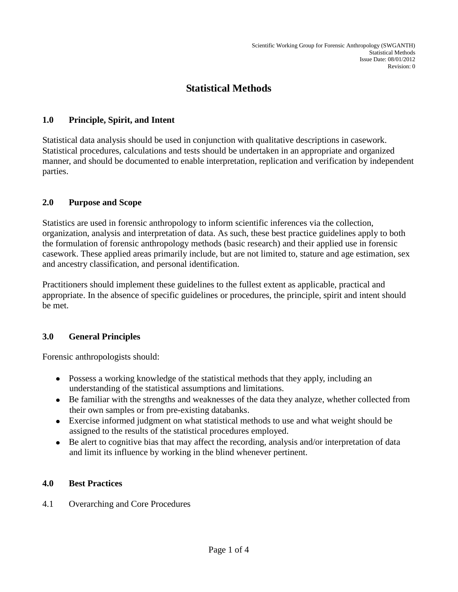# **Statistical Methods**

#### **1.0 Principle, Spirit, and Intent**

Statistical data analysis should be used in conjunction with qualitative descriptions in casework. Statistical procedures, calculations and tests should be undertaken in an appropriate and organized manner, and should be documented to enable interpretation, replication and verification by independent parties.

#### **2.0 Purpose and Scope**

Statistics are used in forensic anthropology to inform scientific inferences via the collection, organization, analysis and interpretation of data. As such, these best practice guidelines apply to both the formulation of forensic anthropology methods (basic research) and their applied use in forensic casework. These applied areas primarily include, but are not limited to, stature and age estimation, sex and ancestry classification, and personal identification.

Practitioners should implement these guidelines to the fullest extent as applicable, practical and appropriate. In the absence of specific guidelines or procedures, the principle, spirit and intent should be met.

## **3.0 General Principles**

Forensic anthropologists should:

- Possess a working knowledge of the statistical methods that they apply, including an understanding of the statistical assumptions and limitations.
- Be familiar with the strengths and weaknesses of the data they analyze, whether collected from their own samples or from pre-existing databanks.
- Exercise informed judgment on what statistical methods to use and what weight should be assigned to the results of the statistical procedures employed.
- Be alert to cognitive bias that may affect the recording, analysis and/or interpretation of data and limit its influence by working in the blind whenever pertinent.

#### **4.0 Best Practices**

4.1 Overarching and Core Procedures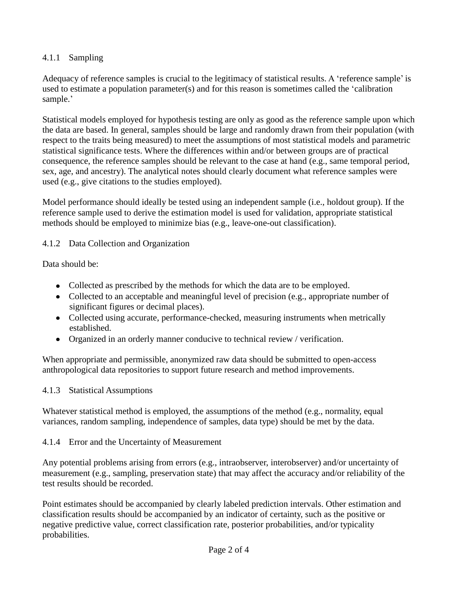## 4.1.1 Sampling

Adequacy of reference samples is crucial to the legitimacy of statistical results. A 'reference sample' is used to estimate a population parameter(s) and for this reason is sometimes called the 'calibration sample.'

Statistical models employed for hypothesis testing are only as good as the reference sample upon which the data are based. In general, samples should be large and randomly drawn from their population (with respect to the traits being measured) to meet the assumptions of most statistical models and parametric statistical significance tests. Where the differences within and/or between groups are of practical consequence, the reference samples should be relevant to the case at hand (e.g., same temporal period, sex, age, and ancestry). The analytical notes should clearly document what reference samples were used (e.g., give citations to the studies employed).

Model performance should ideally be tested using an independent sample (i.e., holdout group). If the reference sample used to derive the estimation model is used for validation, appropriate statistical methods should be employed to minimize bias (e.g., leave-one-out classification).

4.1.2 Data Collection and Organization

Data should be:

- Collected as prescribed by the methods for which the data are to be employed.
- Collected to an acceptable and meaningful level of precision (e.g., appropriate number of significant figures or decimal places).
- Collected using accurate, performance-checked, measuring instruments when metrically established.
- Organized in an orderly manner conducive to technical review / verification.

When appropriate and permissible, anonymized raw data should be submitted to open-access anthropological data repositories to support future research and method improvements.

4.1.3 Statistical Assumptions

Whatever statistical method is employed, the assumptions of the method (e.g., normality, equal variances, random sampling, independence of samples, data type) should be met by the data.

4.1.4 Error and the Uncertainty of Measurement

Any potential problems arising from errors (e.g., intraobserver, interobserver) and/or uncertainty of measurement (e.g., sampling, preservation state) that may affect the accuracy and/or reliability of the test results should be recorded.

Point estimates should be accompanied by clearly labeled prediction intervals. Other estimation and classification results should be accompanied by an indicator of certainty, such as the positive or negative predictive value, correct classification rate, posterior probabilities, and/or typicality probabilities.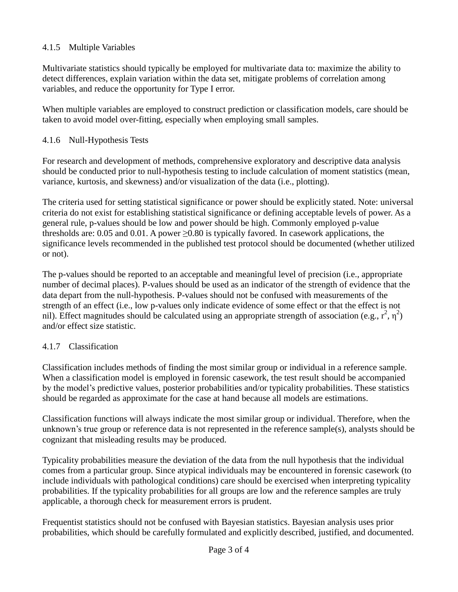## 4.1.5 Multiple Variables

Multivariate statistics should typically be employed for multivariate data to: maximize the ability to detect differences, explain variation within the data set, mitigate problems of correlation among variables, and reduce the opportunity for Type I error.

When multiple variables are employed to construct prediction or classification models, care should be taken to avoid model over-fitting, especially when employing small samples.

### 4.1.6 Null-Hypothesis Tests

For research and development of methods, comprehensive exploratory and descriptive data analysis should be conducted prior to null-hypothesis testing to include calculation of moment statistics (mean, variance, kurtosis, and skewness) and/or visualization of the data (i.e., plotting).

The criteria used for setting statistical significance or power should be explicitly stated. Note: universal criteria do not exist for establishing statistical significance or defining acceptable levels of power. As a general rule, p-values should be low and power should be high. Commonly employed p-value thresholds are: 0.05 and 0.01. A power  $\geq$ 0.80 is typically favored. In casework applications, the significance levels recommended in the published test protocol should be documented (whether utilized or not).

The p-values should be reported to an acceptable and meaningful level of precision (i.e., appropriate number of decimal places). P-values should be used as an indicator of the strength of evidence that the data depart from the null-hypothesis. P-values should not be confused with measurements of the strength of an effect (i.e., low p-values only indicate evidence of some effect or that the effect is not nil). Effect magnitudes should be calculated using an appropriate strength of association (e.g.,  $r^2$ ,  $\eta^2$ ) and/or effect size statistic.

#### 4.1.7 Classification

Classification includes methods of finding the most similar group or individual in a reference sample. When a classification model is employed in forensic casework, the test result should be accompanied by the model's predictive values, posterior probabilities and/or typicality probabilities. These statistics should be regarded as approximate for the case at hand because all models are estimations.

Classification functions will always indicate the most similar group or individual. Therefore, when the unknown's true group or reference data is not represented in the reference sample(s), analysts should be cognizant that misleading results may be produced.

Typicality probabilities measure the deviation of the data from the null hypothesis that the individual comes from a particular group. Since atypical individuals may be encountered in forensic casework (to include individuals with pathological conditions) care should be exercised when interpreting typicality probabilities. If the typicality probabilities for all groups are low and the reference samples are truly applicable, a thorough check for measurement errors is prudent.

Frequentist statistics should not be confused with Bayesian statistics. Bayesian analysis uses prior probabilities, which should be carefully formulated and explicitly described, justified, and documented.